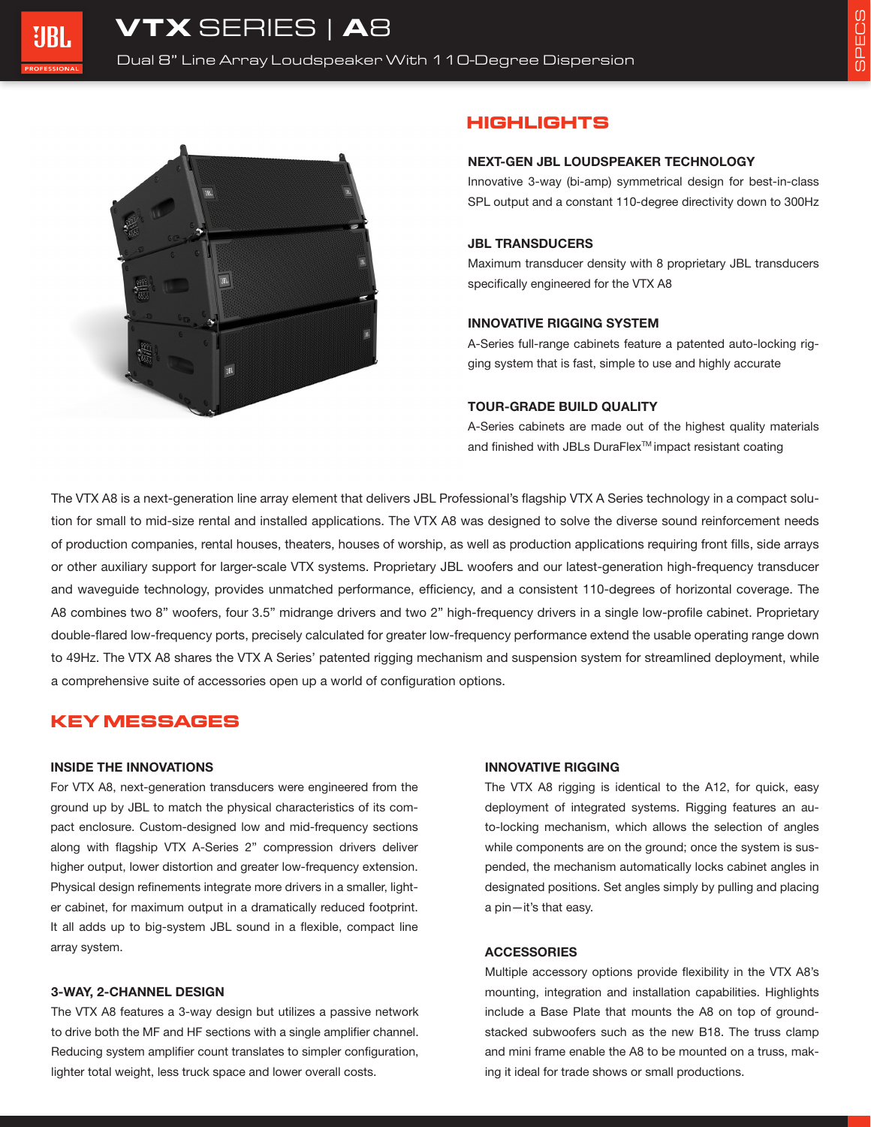

# **HIGHLIGHTS**

#### **NEXT-GEN JBL LOUDSPEAKER TECHNOLOGY**

Innovative 3-way (bi-amp) symmetrical design for best-in-class SPL output and a constant 110-degree directivity down to 300Hz

#### **JBL TRANSDUCERS**

Maximum transducer density with 8 proprietary JBL transducers specifically engineered for the VTX A8

### **INNOVATIVE RIGGING SYSTEM**

A-Series full-range cabinets feature a patented auto-locking rigging system that is fast, simple to use and highly accurate

### **TOUR-GRADE BUILD QUALITY**

A-Series cabinets are made out of the highest quality materials and finished with JBLs DuraFlex<sup>™</sup> impact resistant coating

The VTX A8 is a next-generation line array element that delivers JBL Professional's flagship VTX A Series technology in a compact solution for small to mid-size rental and installed applications. The VTX A8 was designed to solve the diverse sound reinforcement needs of production companies, rental houses, theaters, houses of worship, as well as production applications requiring front fills, side arrays or other auxiliary support for larger-scale VTX systems. Proprietary JBL woofers and our latest-generation high-frequency transducer and waveguide technology, provides unmatched performance, efficiency, and a consistent 110-degrees of horizontal coverage. The A8 combines two 8" woofers, four 3.5" midrange drivers and two 2" high-frequency drivers in a single low-profile cabinet. Proprietary double-flared low-frequency ports, precisely calculated for greater low-frequency performance extend the usable operating range down to 49Hz. The VTX A8 shares the VTX A Series' patented rigging mechanism and suspension system for streamlined deployment, while a comprehensive suite of accessories open up a world of configuration options.

# **KEY MESSAGES**

### **INSIDE THE INNOVATIONS**

For VTX A8, next-generation transducers were engineered from the ground up by JBL to match the physical characteristics of its compact enclosure. Custom-designed low and mid-frequency sections along with flagship VTX A-Series 2" compression drivers deliver higher output, lower distortion and greater low-frequency extension. Physical design refinements integrate more drivers in a smaller, lighter cabinet, for maximum output in a dramatically reduced footprint. It all adds up to big-system JBL sound in a flexible, compact line array system.

#### **3-WAY, 2-CHANNEL DESIGN**

The VTX A8 features a 3-way design but utilizes a passive network to drive both the MF and HF sections with a single amplifier channel. Reducing system amplifier count translates to simpler configuration, lighter total weight, less truck space and lower overall costs.

## **INNOVATIVE RIGGING**

The VTX A8 rigging is identical to the A12, for quick, easy deployment of integrated systems. Rigging features an auto-locking mechanism, which allows the selection of angles while components are on the ground; once the system is suspended, the mechanism automatically locks cabinet angles in designated positions. Set angles simply by pulling and placing a pin—it's that easy.

#### **ACCESSORIES**

Multiple accessory options provide flexibility in the VTX A8's mounting, integration and installation capabilities. Highlights include a Base Plate that mounts the A8 on top of groundstacked subwoofers such as the new B18. The truss clamp and mini frame enable the A8 to be mounted on a truss, making it ideal for trade shows or small productions.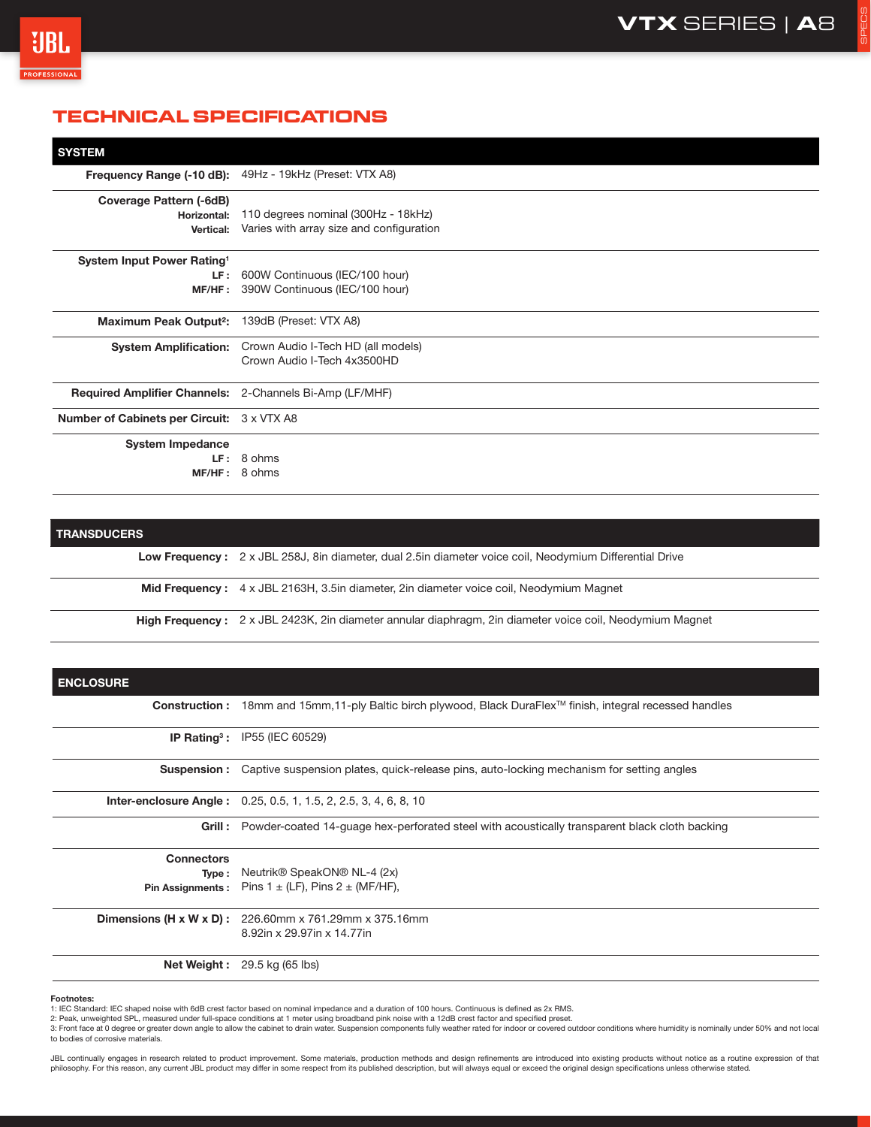SPECS



# **TECHNICAL SPECIFICATIONS**

| <b>SYSTEM</b>                                                  |                                                         |
|----------------------------------------------------------------|---------------------------------------------------------|
|                                                                | Frequency Range (-10 dB): 49Hz - 19kHz (Preset: VTX A8) |
| <b>Coverage Pattern (-6dB)</b><br>Horizontal:                  | 110 degrees nominal (300Hz - 18kHz)                     |
| Vertical:                                                      | Varies with array size and configuration                |
| System Input Power Rating <sup>1</sup>                         |                                                         |
| LF :                                                           | 600W Continuous (IEC/100 hour)                          |
| MF/HF:                                                         | 390W Continuous (IEC/100 hour)                          |
| <b>Maximum Peak Output<sup>2</sup>:</b>                        | 139dB (Preset: VTX A8)                                  |
| <b>System Amplification:</b>                                   | Crown Audio I-Tech HD (all models)                      |
|                                                                | Crown Audio I-Tech 4x3500HD                             |
| <b>Required Amplifier Channels:</b> 2-Channels Bi-Amp (LF/MHF) |                                                         |
| <b>Number of Cabinets per Circuit: 3 x VTX A8</b>              |                                                         |
| <b>System Impedance</b>                                        |                                                         |
| LF :                                                           | 8 ohms                                                  |
|                                                                | MF/HF: 8 ohms                                           |

## **TRANSDUCERS**

**Low Frequency :** 2 x JBL 258J, 8in diameter, dual 2.5in diameter voice coil, Neodymium Differential Drive

**Mid Frequency :** 4 x JBL 2163H, 3.5in diameter, 2in diameter voice coil, Neodymium Magnet

**High Frequency :** 2 x JBL 2423K, 2in diameter annular diaphragm, 2in diameter voice coil, Neodymium Magnet

| <b>ENCLOSURE</b>         |                                                                                                            |
|--------------------------|------------------------------------------------------------------------------------------------------------|
|                          | Construction: 18mm and 15mm,11-ply Baltic birch plywood, Black DuraFlex™ finish, integral recessed handles |
|                          | <b>IP Rating<sup>3</sup>: IP55 (IEC 60529)</b>                                                             |
| <b>Suspension :</b>      | Captive suspension plates, quick-release pins, auto-locking mechanism for setting angles                   |
|                          | <b>Inter-enclosure Angle:</b> 0.25, 0.5, 1, 1.5, 2, 2.5, 3, 4, 6, 8, 10                                    |
|                          | Grill: Powder-coated 14-quage hex-perforated steel with acoustically transparent black cloth backing       |
| <b>Connectors</b>        |                                                                                                            |
|                          | <b>Type:</b> Neutrik <sup>®</sup> SpeakON <sup>®</sup> NL-4 (2x)                                           |
|                          | <b>Pin Assignments:</b> Pins $1 \pm (LF)$ , Pins $2 \pm (MF/HF)$ ,                                         |
| Dimensions (H x W x D) : | 226.60mm x 761.29mm x 375.16mm                                                                             |
|                          | 8.92in x 29.97in x 14.77in                                                                                 |
|                          | <b>Net Weight:</b> $29.5$ kg (65 lbs)                                                                      |

#### **Footnotes:**

1: IEC Standard: IEC shaped noise with 6dB crest factor based on nominal impedance and a duration of 100 hours. Continuous is defined as 2x RMS.<br>2: Peak, unweighted SPL, measured under full-space conditions at 1 meter usin

3: Front face at 0 degree or greater down angle to allow the cabinet to drain water. Suspension components fully weather rated for indoor or covered outdoor conditions where humidity is nominally under 50% and not local to bodies of corrosive materials.

JBL continually engages in research related to product improvement. Some materials, production methods and design refinements are introduced into existing products without notice as a routine expression of that philosophy. For this reason, any current JBL product may differ in some respect from its published description, but will always equal or exceed the original design specifications unless otherwise stated.